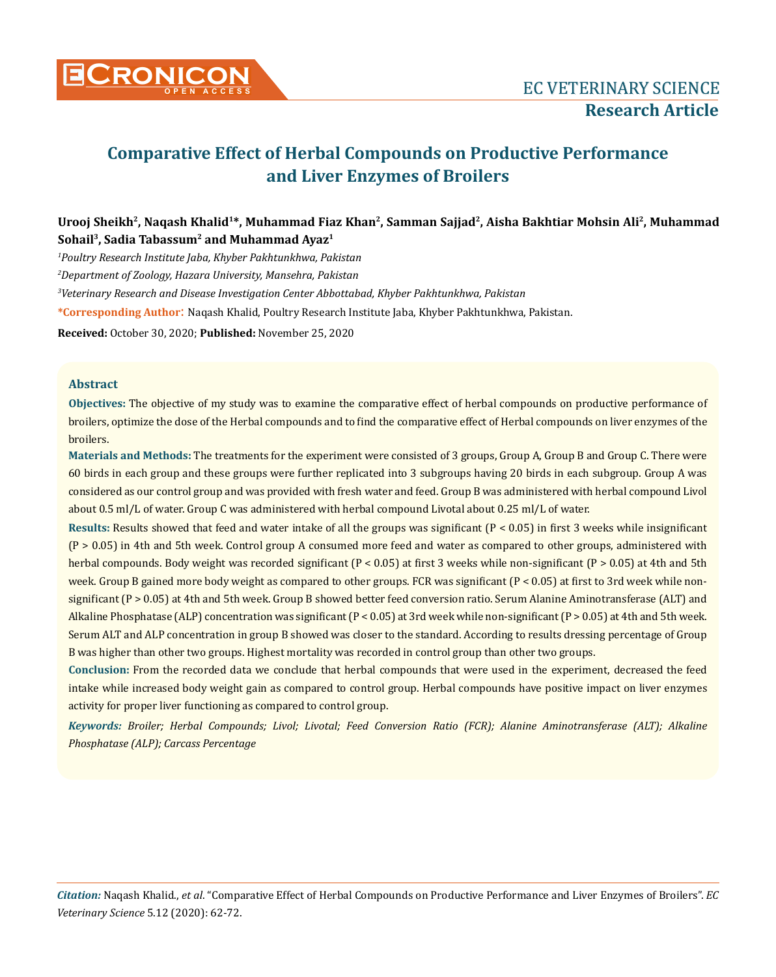

# **Comparative Effect of Herbal Compounds on Productive Performance and Liver Enzymes of Broilers**

## **Urooj Sheikh2, Naqash Khalid1\*, Muhammad Fiaz Khan2, Samman Sajjad2, Aisha Bakhtiar Mohsin Ali2, Muhammad Sohail3, Sadia Tabassum2 and Muhammad Ayaz1**

*1 Poultry Research Institute Jaba, Khyber Pakhtunkhwa, Pakistan*

*2 Department of Zoology, Hazara University, Mansehra, Pakistan*

*3 Veterinary Research and Disease Investigation Center Abbottabad, Khyber Pakhtunkhwa, Pakistan* 

**\*Corresponding Author**: Naqash Khalid, Poultry Research Institute Jaba, Khyber Pakhtunkhwa, Pakistan.

**Received:** October 30, 2020; **Published:** November 25, 2020

## **Abstract**

**Objectives:** The objective of my study was to examine the comparative effect of herbal compounds on productive performance of broilers, optimize the dose of the Herbal compounds and to find the comparative effect of Herbal compounds on liver enzymes of the broilers.

**Materials and Methods:** The treatments for the experiment were consisted of 3 groups, Group A, Group B and Group C. There were 60 birds in each group and these groups were further replicated into 3 subgroups having 20 birds in each subgroup. Group A was considered as our control group and was provided with fresh water and feed. Group B was administered with herbal compound Livol about 0.5 ml/L of water. Group C was administered with herbal compound Livotal about 0.25 ml/L of water.

**Results:** Results showed that feed and water intake of all the groups was significant (P < 0.05) in first 3 weeks while insignificant  $(P > 0.05)$  in 4th and 5th week. Control group A consumed more feed and water as compared to other groups, administered with herbal compounds. Body weight was recorded significant (P < 0.05) at first 3 weeks while non-significant (P > 0.05) at 4th and 5th week. Group B gained more body weight as compared to other groups. FCR was significant (P < 0.05) at first to 3rd week while nonsignificant (P > 0.05) at 4th and 5th week. Group B showed better feed conversion ratio. Serum Alanine Aminotransferase (ALT) and Alkaline Phosphatase (ALP) concentration was significant (P < 0.05) at 3rd week while non-significant (P > 0.05) at 4th and 5th week. Serum ALT and ALP concentration in group B showed was closer to the standard. According to results dressing percentage of Group B was higher than other two groups. Highest mortality was recorded in control group than other two groups.

**Conclusion:** From the recorded data we conclude that herbal compounds that were used in the experiment, decreased the feed intake while increased body weight gain as compared to control group. Herbal compounds have positive impact on liver enzymes activity for proper liver functioning as compared to control group.

*Keywords: Broiler; Herbal Compounds; Livol; Livotal; Feed Conversion Ratio (FCR); Alanine Aminotransferase (ALT); Alkaline Phosphatase (ALP); Carcass Percentage*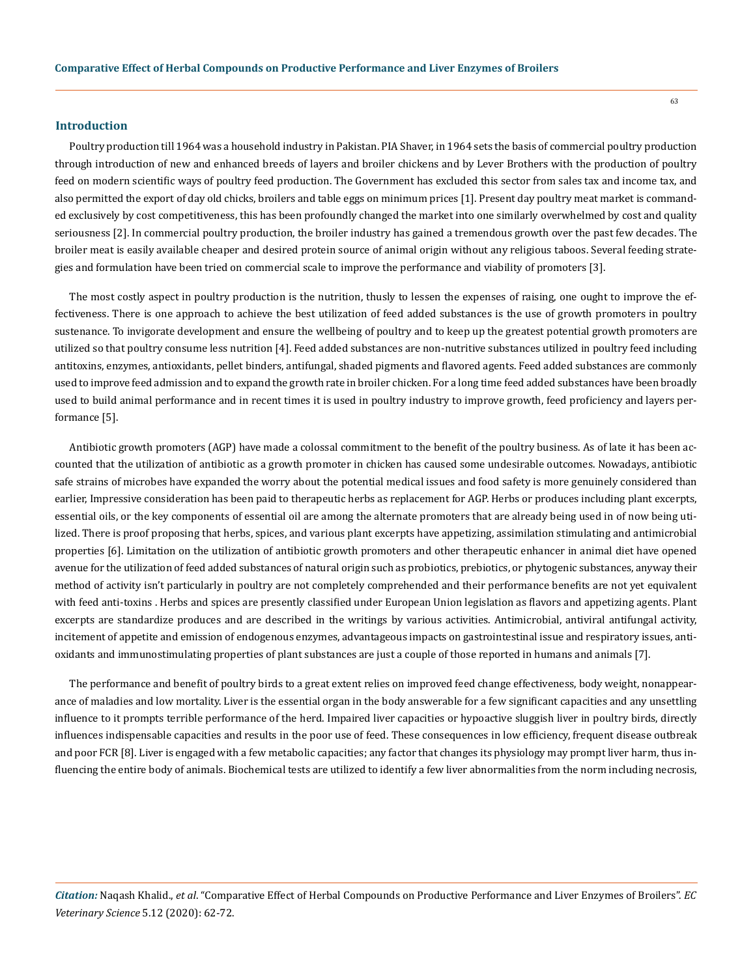#### **Introduction**

Poultry production till 1964 was a household industry in Pakistan. PIA Shaver, in 1964 sets the basis of commercial poultry production through introduction of new and enhanced breeds of layers and broiler chickens and by Lever Brothers with the production of poultry feed on modern scientific ways of poultry feed production. The Government has excluded this sector from sales tax and income tax, and also permitted the export of day old chicks, broilers and table eggs on minimum prices [1]. Present day poultry meat market is commanded exclusively by cost competitiveness, this has been profoundly changed the market into one similarly overwhelmed by cost and quality seriousness [2]. In commercial poultry production, the broiler industry has gained a tremendous growth over the past few decades. The broiler meat is easily available cheaper and desired protein source of animal origin without any religious taboos. Several feeding strategies and formulation have been tried on commercial scale to improve the performance and viability of promoters [3].

The most costly aspect in poultry production is the nutrition, thusly to lessen the expenses of raising, one ought to improve the effectiveness. There is one approach to achieve the best utilization of feed added substances is the use of growth promoters in poultry sustenance. To invigorate development and ensure the wellbeing of poultry and to keep up the greatest potential growth promoters are utilized so that poultry consume less nutrition [4]. Feed added substances are non-nutritive substances utilized in poultry feed including antitoxins, enzymes, antioxidants, pellet binders, antifungal, shaded pigments and flavored agents. Feed added substances are commonly used to improve feed admission and to expand the growth rate in broiler chicken. For a long time feed added substances have been broadly used to build animal performance and in recent times it is used in poultry industry to improve growth, feed proficiency and layers performance [5].

Antibiotic growth promoters (AGP) have made a colossal commitment to the benefit of the poultry business. As of late it has been accounted that the utilization of antibiotic as a growth promoter in chicken has caused some undesirable outcomes. Nowadays, antibiotic safe strains of microbes have expanded the worry about the potential medical issues and food safety is more genuinely considered than earlier, Impressive consideration has been paid to therapeutic herbs as replacement for AGP. Herbs or produces including plant excerpts, essential oils, or the key components of essential oil are among the alternate promoters that are already being used in of now being utilized. There is proof proposing that herbs, spices, and various plant excerpts have appetizing, assimilation stimulating and antimicrobial properties [6]. Limitation on the utilization of antibiotic growth promoters and other therapeutic enhancer in animal diet have opened avenue for the utilization of feed added substances of natural origin such as probiotics, prebiotics, or phytogenic substances, anyway their method of activity isn't particularly in poultry are not completely comprehended and their performance benefits are not yet equivalent with feed anti-toxins . Herbs and spices are presently classified under European Union legislation as flavors and appetizing agents. Plant excerpts are standardize produces and are described in the writings by various activities. Antimicrobial, antiviral antifungal activity, incitement of appetite and emission of endogenous enzymes, advantageous impacts on gastrointestinal issue and respiratory issues, antioxidants and immunostimulating properties of plant substances are just a couple of those reported in humans and animals [7].

The performance and benefit of poultry birds to a great extent relies on improved feed change effectiveness, body weight, nonappearance of maladies and low mortality. Liver is the essential organ in the body answerable for a few significant capacities and any unsettling influence to it prompts terrible performance of the herd. Impaired liver capacities or hypoactive sluggish liver in poultry birds, directly influences indispensable capacities and results in the poor use of feed. These consequences in low efficiency, frequent disease outbreak and poor FCR [8]. Liver is engaged with a few metabolic capacities; any factor that changes its physiology may prompt liver harm, thus influencing the entire body of animals. Biochemical tests are utilized to identify a few liver abnormalities from the norm including necrosis,

*Citation:* Naqash Khalid., *et al*. "Comparative Effect of Herbal Compounds on Productive Performance and Liver Enzymes of Broilers". *EC Veterinary Science* 5.12 (2020): 62-72.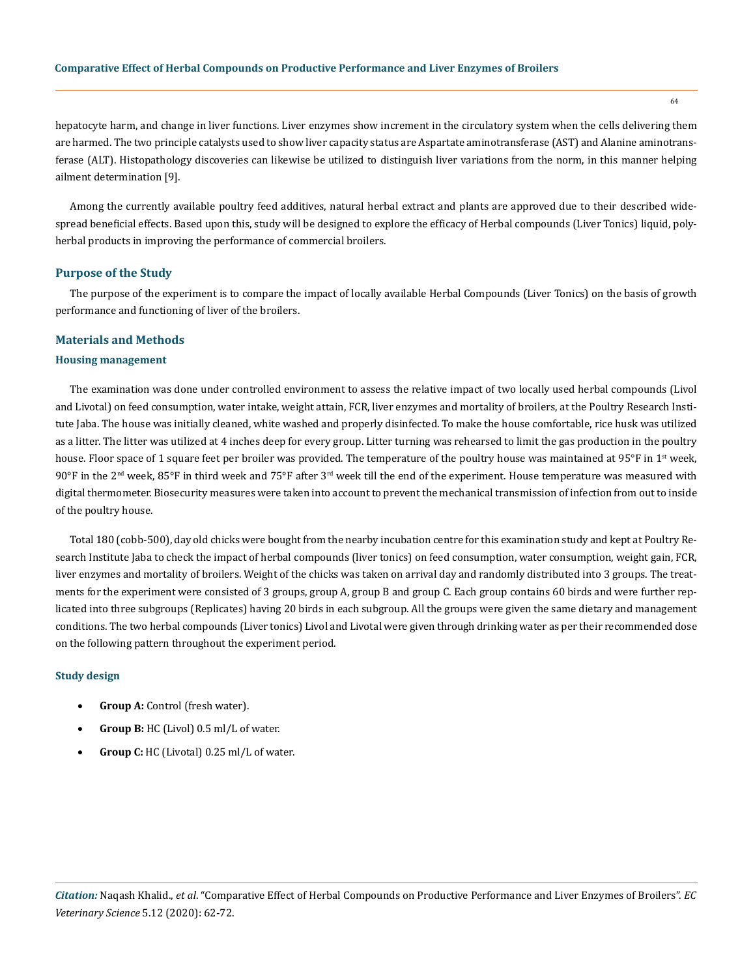## **Comparative Effect of Herbal Compounds on Productive Performance and Liver Enzymes of Broilers**

hepatocyte harm, and change in liver functions. Liver enzymes show increment in the circulatory system when the cells delivering them are harmed. The two principle catalysts used to show liver capacity status are Aspartate aminotransferase (AST) and Alanine aminotransferase (ALT). Histopathology discoveries can likewise be utilized to distinguish liver variations from the norm, in this manner helping ailment determination [9].

Among the currently available poultry feed additives, natural herbal extract and plants are approved due to their described widespread beneficial effects. Based upon this, study will be designed to explore the efficacy of Herbal compounds (Liver Tonics) liquid, polyherbal products in improving the performance of commercial broilers.

## **Purpose of the Study**

The purpose of the experiment is to compare the impact of locally available Herbal Compounds (Liver Tonics) on the basis of growth performance and functioning of liver of the broilers.

#### **Materials and Methods**

#### **Housing management**

The examination was done under controlled environment to assess the relative impact of two locally used herbal compounds (Livol and Livotal) on feed consumption, water intake, weight attain, FCR, liver enzymes and mortality of broilers, at the Poultry Research Institute Jaba. The house was initially cleaned, white washed and properly disinfected. To make the house comfortable, rice husk was utilized as a litter. The litter was utilized at 4 inches deep for every group. Litter turning was rehearsed to limit the gas production in the poultry house. Floor space of 1 square feet per broiler was provided. The temperature of the poultry house was maintained at 95 $\degree$ F in 1<sup>st</sup> week,  $90^{\circ}$ F in the  $2^{\text{nd}}$  week,  $85^{\circ}$ F in third week and  $75^{\circ}$ F after  $3^{\text{rd}}$  week till the end of the experiment. House temperature was measured with digital thermometer. Biosecurity measures were taken into account to prevent the mechanical transmission of infection from out to inside of the poultry house.

Total 180 (cobb-500), day old chicks were bought from the nearby incubation centre for this examination study and kept at Poultry Research Institute Jaba to check the impact of herbal compounds (liver tonics) on feed consumption, water consumption, weight gain, FCR, liver enzymes and mortality of broilers. Weight of the chicks was taken on arrival day and randomly distributed into 3 groups. The treatments for the experiment were consisted of 3 groups, group A, group B and group C. Each group contains 60 birds and were further replicated into three subgroups (Replicates) having 20 birds in each subgroup. All the groups were given the same dietary and management conditions. The two herbal compounds (Liver tonics) Livol and Livotal were given through drinking water as per their recommended dose on the following pattern throughout the experiment period.

#### **Study design**

- **Group A:** Control (fresh water).
- • **Group B:** HC (Livol) 0.5 ml/L of water.
- **Group C:** HC (Livotal) 0.25 ml/L of water.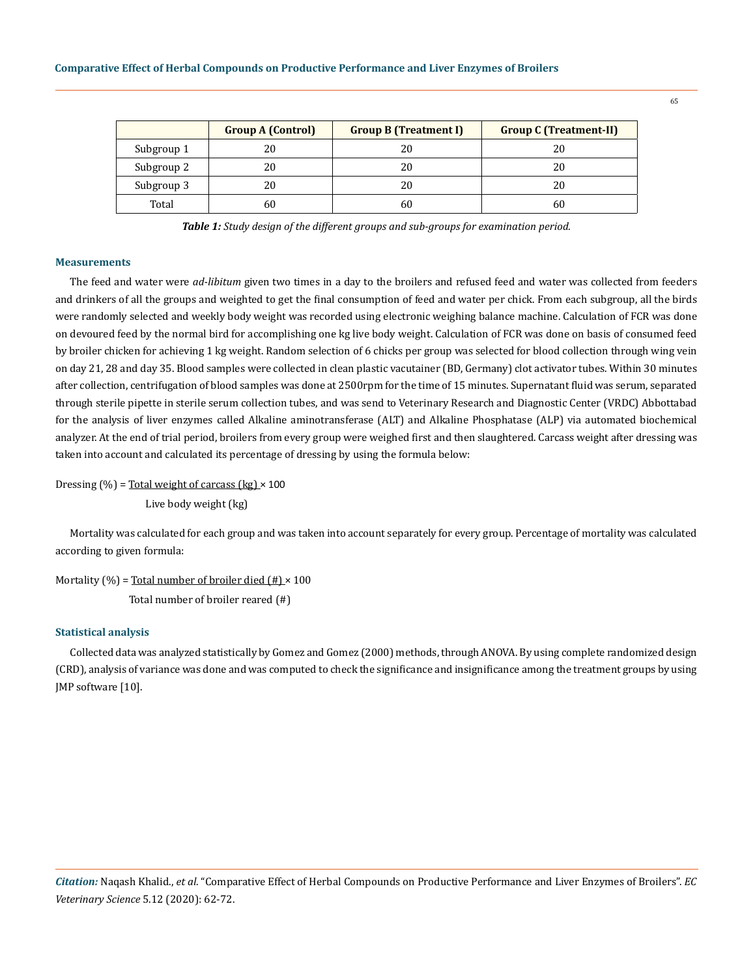|            | <b>Group A (Control)</b> | <b>Group B (Treatment I)</b> | <b>Group C (Treatment-II)</b> |
|------------|--------------------------|------------------------------|-------------------------------|
| Subgroup 1 | 20                       | 20                           |                               |
| Subgroup 2 | 20                       | 20                           | 20                            |
| Subgroup 3 | 20                       | 20                           | 20                            |
| Total      | 60                       |                              | 60                            |

*Table 1: Study design of the different groups and sub-groups for examination period.*

#### **Measurements**

The feed and water were *ad-libitum* given two times in a day to the broilers and refused feed and water was collected from feeders and drinkers of all the groups and weighted to get the final consumption of feed and water per chick. From each subgroup, all the birds were randomly selected and weekly body weight was recorded using electronic weighing balance machine. Calculation of FCR was done on devoured feed by the normal bird for accomplishing one kg live body weight. Calculation of FCR was done on basis of consumed feed by broiler chicken for achieving 1 kg weight. Random selection of 6 chicks per group was selected for blood collection through wing vein on day 21, 28 and day 35. Blood samples were collected in clean plastic vacutainer (BD, Germany) clot activator tubes. Within 30 minutes after collection, centrifugation of blood samples was done at 2500rpm for the time of 15 minutes. Supernatant fluid was serum, separated through sterile pipette in sterile serum collection tubes, and was send to Veterinary Research and Diagnostic Center (VRDC) Abbottabad for the analysis of liver enzymes called Alkaline aminotransferase (ALT) and Alkaline Phosphatase (ALP) via automated biochemical analyzer. At the end of trial period, broilers from every group were weighed first and then slaughtered. Carcass weight after dressing was taken into account and calculated its percentage of dressing by using the formula below:

Dressing  $(\%)$  = Total weight of carcass  $(kg) \times 100$ 

Live body weight (kg)

Mortality was calculated for each group and was taken into account separately for every group. Percentage of mortality was calculated according to given formula:

Mortality (%) = Total number of broiler died  $(\#) \times 100$ 

Total number of broiler reared (#)

## **Statistical analysis**

Collected data was analyzed statistically by Gomez and Gomez (2000) methods, through ANOVA. By using complete randomized design (CRD), analysis of variance was done and was computed to check the significance and insignificance among the treatment groups by using JMP software [10].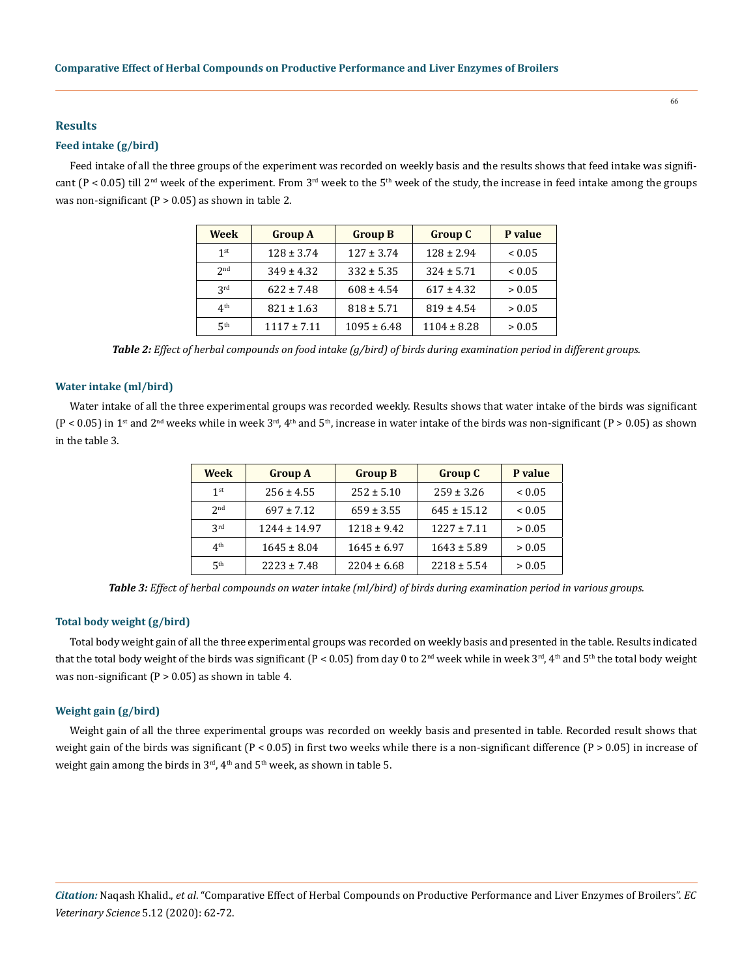#### **Results**

#### **Feed intake (g/bird)**

Feed intake of all the three groups of the experiment was recorded on weekly basis and the results shows that feed intake was significant (P < 0.05) till 2<sup>nd</sup> week of the experiment. From 3<sup>rd</sup> week to the 5<sup>th</sup> week of the study, the increase in feed intake among the groups was non-significant ( $P > 0.05$ ) as shown in table 2.

| <b>Week</b>     | <b>Group A</b>  | <b>Group B</b>  | <b>Group C</b>  | P value     |
|-----------------|-----------------|-----------------|-----------------|-------------|
| 1 <sup>st</sup> | $128 \pm 3.74$  | $127 \pm 3.74$  | $128 \pm 2.94$  | ${}_{0.05}$ |
| 2 <sub>nd</sub> | $349 \pm 4.32$  | $332 \pm 5.35$  | $324 \pm 5.71$  | ${}_{0.05}$ |
| 2rd             | $622 \pm 7.48$  | $608 \pm 4.54$  | $617 \pm 4.32$  | > 0.05      |
| 4 <sup>th</sup> | $821 \pm 1.63$  | $818 \pm 5.71$  | $819 \pm 4.54$  | > 0.05      |
| 5 <sup>th</sup> | $1117 \pm 7.11$ | $1095 \pm 6.48$ | $1104 \pm 8.28$ | > 0.05      |

*Table 2: Effect of herbal compounds on food intake (g/bird) of birds during examination period in different groups.*

#### **Water intake (ml/bird)**

Water intake of all the three experimental groups was recorded weekly. Results shows that water intake of the birds was significant  $(P < 0.05)$  in 1<sup>st</sup> and 2<sup>nd</sup> weeks while in week 3<sup>rd</sup>, 4<sup>th</sup> and 5<sup>th</sup>, increase in water intake of the birds was non-significant  $(P > 0.05)$  as shown in the table 3.

| <b>Week</b>     | <b>Group A</b>   | <b>Group B</b>  | <b>Group C</b>  | P value     |
|-----------------|------------------|-----------------|-----------------|-------------|
| 1 <sup>st</sup> | $256 \pm 4.55$   | $252 \pm 5.10$  | $259 \pm 3.26$  | ${}_{0.05}$ |
| 2 <sub>nd</sub> | $697 \pm 7.12$   | $659 \pm 3.55$  | $645 \pm 15.12$ | ${}_{0.05}$ |
| 2rd             | $1244 \pm 14.97$ | $1218 \pm 9.42$ | $1227 \pm 7.11$ | > 0.05      |
| 4 <sup>th</sup> | $1645 \pm 8.04$  | $1645 \pm 6.97$ | $1643 \pm 5.89$ | > 0.05      |
| ςth             | $2223 \pm 7.48$  | $2204 \pm 6.68$ | $2218 \pm 5.54$ | > 0.05      |

*Table 3: Effect of herbal compounds on water intake (ml/bird) of birds during examination period in various groups.*

## **Total body weight (g/bird)**

Total body weight gain of all the three experimental groups was recorded on weekly basis and presented in the table. Results indicated that the total body weight of the birds was significant (P < 0.05) from day 0 to 2<sup>nd</sup> week while in week 3<sup>rd</sup>, 4<sup>th</sup> and 5<sup>th</sup> the total body weight was non-significant ( $P > 0.05$ ) as shown in table 4.

#### **Weight gain (g/bird)**

Weight gain of all the three experimental groups was recorded on weekly basis and presented in table. Recorded result shows that weight gain of the birds was significant ( $P < 0.05$ ) in first two weeks while there is a non-significant difference ( $P > 0.05$ ) in increase of weight gain among the birds in  $3<sup>rd</sup>$ ,  $4<sup>th</sup>$  and  $5<sup>th</sup>$  week, as shown in table 5.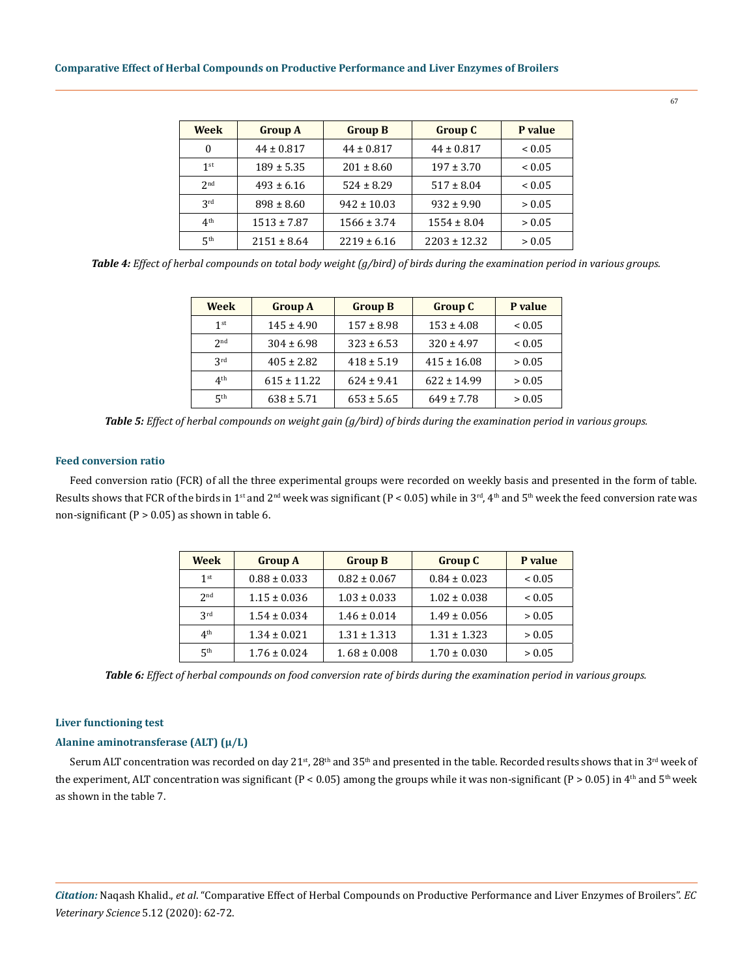## **Comparative Effect of Herbal Compounds on Productive Performance and Liver Enzymes of Broilers**

| Week            | <b>Group A</b>  | <b>Group B</b>  | <b>Group C</b>   | P value     |
|-----------------|-----------------|-----------------|------------------|-------------|
| 0               | $44 \pm 0.817$  | $44 \pm 0.817$  | $44 \pm 0.817$   | ${}_{0.05}$ |
| 1 <sup>st</sup> | $189 \pm 5.35$  | $201 \pm 8.60$  | $197 \pm 3.70$   | ${}_{0.05}$ |
| 2 <sub>nd</sub> | $493 \pm 6.16$  | $524 \pm 8.29$  | $517 \pm 8.04$   | ${}_{0.05}$ |
| 2rd             | $898 \pm 8.60$  | $942 \pm 10.03$ | $932 \pm 9.90$   | > 0.05      |
| 4 <sup>th</sup> | $1513 \pm 7.87$ | $1566 \pm 3.74$ | $1554 \pm 8.04$  | > 0.05      |
| 5 <sup>th</sup> | $2151 \pm 8.64$ | $2219 \pm 6.16$ | $2203 \pm 12.32$ | > 0.05      |

*Table 4: Effect of herbal compounds on total body weight (g/bird) of birds during the examination period in various groups.*

| Week            | <b>Group A</b>  | <b>Group B</b> | <b>Group C</b>  | P value     |
|-----------------|-----------------|----------------|-----------------|-------------|
| 1 <sup>st</sup> | $145 \pm 4.90$  | $157 \pm 8.98$ | $153 \pm 4.08$  | ${}_{0.05}$ |
| 2 <sub>nd</sub> | $304 \pm 6.98$  | $323 \pm 6.53$ | $320 \pm 4.97$  | ${}_{0.05}$ |
| 3 <sup>rd</sup> | $405 \pm 2.82$  | $418 \pm 5.19$ | $415 \pm 16.08$ | > 0.05      |
| 4 <sup>th</sup> | $615 \pm 11.22$ | $624 \pm 9.41$ | $622 \pm 14.99$ | > 0.05      |
| 5 <sup>th</sup> | $638 \pm 5.71$  | $653 \pm 5.65$ | $649 \pm 7.78$  | > 0.05      |

*Table 5: Effect of herbal compounds on weight gain (g/bird) of birds during the examination period in various groups.*

## **Feed conversion ratio**

Feed conversion ratio (FCR) of all the three experimental groups were recorded on weekly basis and presented in the form of table. Results shows that FCR of the birds in 1<sup>st</sup> and 2<sup>nd</sup> week was significant (P < 0.05) while in 3<sup>rd</sup>, 4<sup>th</sup> and 5<sup>th</sup> week the feed conversion rate was non-significant ( $P > 0.05$ ) as shown in table 6.

| Week            | <b>Group A</b>   | <b>Group B</b>   | <b>Group C</b>   | P value     |
|-----------------|------------------|------------------|------------------|-------------|
| 1 <sup>st</sup> | $0.88 \pm 0.033$ | $0.82 \pm 0.067$ | $0.84 \pm 0.023$ | ${}_{0.05}$ |
| 2 <sub>nd</sub> | $1.15 \pm 0.036$ | $1.03 \pm 0.033$ | $1.02 \pm 0.038$ | ${}_{0.05}$ |
| 2rd             | $1.54 \pm 0.034$ | $1.46 \pm 0.014$ | $1.49 \pm 0.056$ | > 0.05      |
| 4 <sup>th</sup> | $1.34 \pm 0.021$ | $1.31 \pm 1.313$ | $1.31 \pm 1.323$ | > 0.05      |
| 5 <sup>th</sup> | $1.76 \pm 0.024$ | $1.68 \pm 0.008$ | $1.70 \pm 0.030$ | > 0.05      |

*Table 6: Effect of herbal compounds on food conversion rate of birds during the examination period in various groups.*

#### **Liver functioning test**

## **Alanine aminotransferase (ALT) (µ/L)**

Serum ALT concentration was recorded on day 21<sup>st</sup>, 28<sup>th</sup> and 35<sup>th</sup> and presented in the table. Recorded results shows that in 3<sup>rd</sup> week of the experiment, ALT concentration was significant ( $P < 0.05$ ) among the groups while it was non-significant ( $P > 0.05$ ) in  $4<sup>th</sup>$  and  $5<sup>th</sup>$  week as shown in the table 7.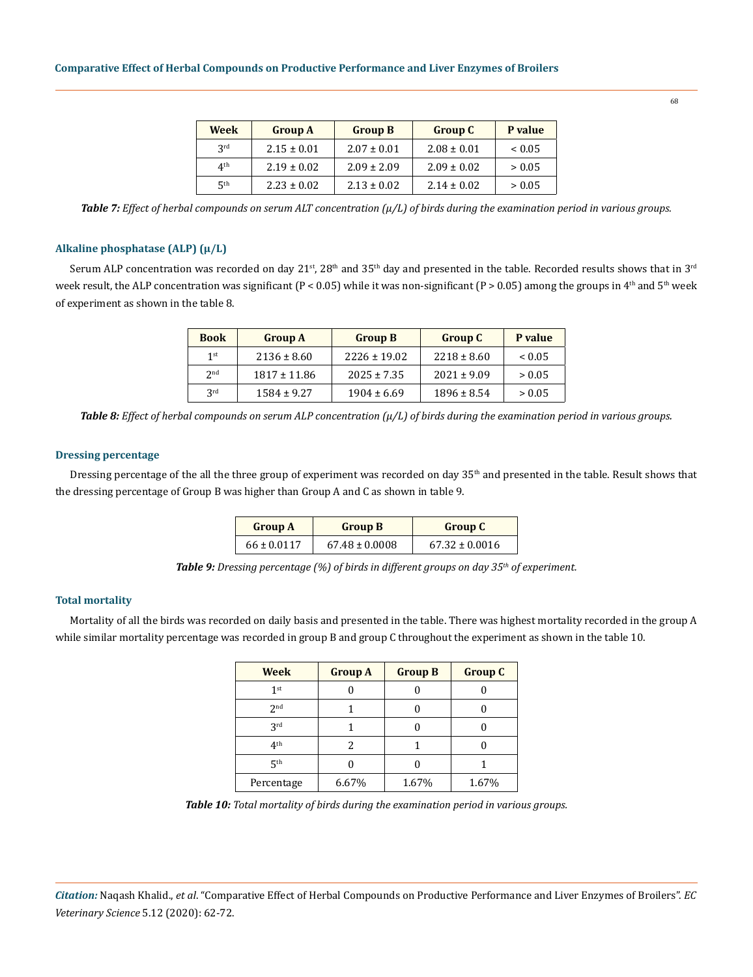| Week            | <b>Group A</b>  | <b>Group B</b>  | <b>Group C</b>  | P value    |
|-----------------|-----------------|-----------------|-----------------|------------|
| 2rd             | $2.15 \pm 0.01$ | $2.07 \pm 0.01$ | $2.08 \pm 0.01$ | ${}< 0.05$ |
| 4 <sup>th</sup> | $2.19 \pm 0.02$ | $2.09 \pm 2.09$ | $2.09 \pm 0.02$ | > 0.05     |
| 5 <sup>th</sup> | $2.23 \pm 0.02$ | $2.13 \pm 0.02$ | $2.14 \pm 0.02$ | > 0.05     |

*Table 7: Effect of herbal compounds on serum ALT concentration (µ/L) of birds during the examination period in various groups.*

## **Alkaline phosphatase (ALP) (µ/L)**

Serum ALP concentration was recorded on day 21<sup>st</sup>, 28<sup>th</sup> and 35<sup>th</sup> day and presented in the table. Recorded results shows that in 3<sup>rd</sup> week result, the ALP concentration was significant ( $P < 0.05$ ) while it was non-significant ( $P > 0.05$ ) among the groups in 4<sup>th</sup> and 5<sup>th</sup> week of experiment as shown in the table 8.

| <b>Book</b>     | <b>Group A</b>   | <b>Group B</b>   | <b>Group C</b>  | P value     |
|-----------------|------------------|------------------|-----------------|-------------|
| $1$ st          | $2136 \pm 8.60$  | $2226 \pm 19.02$ | $2218 \pm 8.60$ | ${}_{0.05}$ |
| 2 <sub>nd</sub> | $1817 \pm 11.86$ | $2025 \pm 7.35$  | $2021 \pm 9.09$ | > 0.05      |
| 2rd             | $1584 \pm 9.27$  | $1904 \pm 6.69$  | $1896 \pm 8.54$ | > 0.05      |

*Table 8: Effect of herbal compounds on serum ALP concentration (µ/L) of birds during the examination period in various groups.*

#### **Dressing percentage**

Dressing percentage of the all the three group of experiment was recorded on day 35<sup>th</sup> and presented in the table. Result shows that the dressing percentage of Group B was higher than Group A and C as shown in table 9.

| <b>Group A</b>  | <b>Group B</b>     | <b>Group C</b>     |
|-----------------|--------------------|--------------------|
| $66 \pm 0.0117$ | $67.48 \pm 0.0008$ | $67.32 \pm 0.0016$ |

*Table 9: Dressing percentage (%) of birds in different groups on day 35th of experiment.*

## **Total mortality**

Mortality of all the birds was recorded on daily basis and presented in the table. There was highest mortality recorded in the group A while similar mortality percentage was recorded in group B and group C throughout the experiment as shown in the table 10.

| <b>Week</b>     | <b>Group A</b> | <b>Group B</b> | <b>Group C</b> |
|-----------------|----------------|----------------|----------------|
| 1 <sup>st</sup> |                |                |                |
| 2 <sub>nd</sub> |                |                |                |
| 3 <sup>rd</sup> |                |                |                |
| 4 <sup>th</sup> | 2              |                |                |
| ςth             |                |                |                |
| Percentage      | 6.67%          | 1.67%          | 1.67%          |

*Table 10: Total mortality of birds during the examination period in various groups.*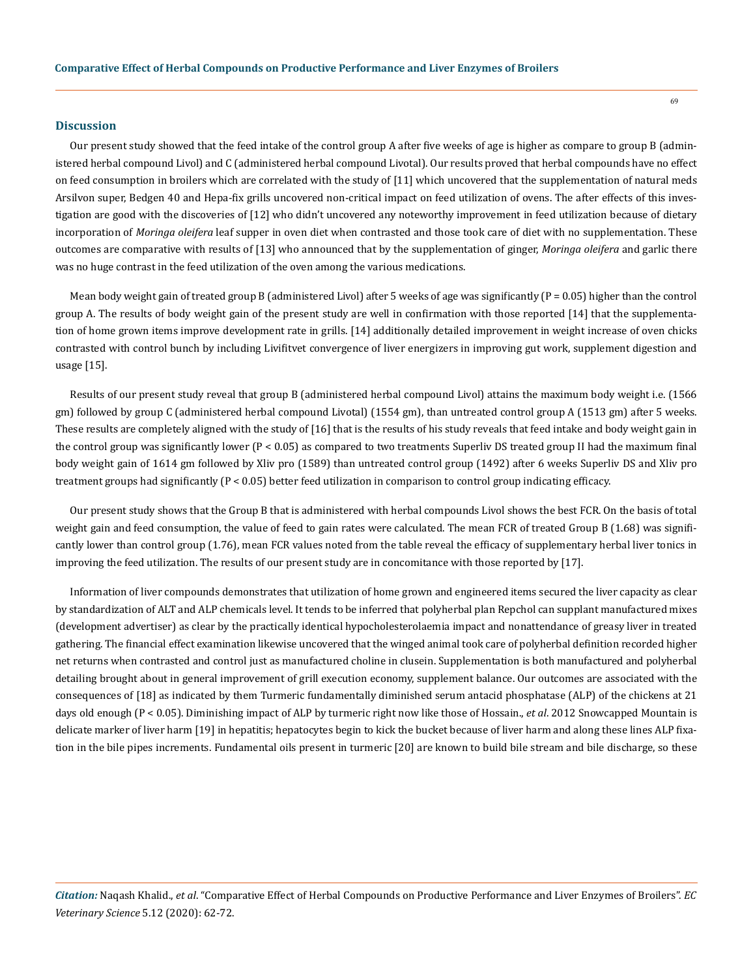#### **Discussion**

Our present study showed that the feed intake of the control group A after five weeks of age is higher as compare to group B (administered herbal compound Livol) and C (administered herbal compound Livotal). Our results proved that herbal compounds have no effect on feed consumption in broilers which are correlated with the study of [11] which uncovered that the supplementation of natural meds Arsilvon super, Bedgen 40 and Hepa-fix grills uncovered non-critical impact on feed utilization of ovens. The after effects of this investigation are good with the discoveries of [12] who didn't uncovered any noteworthy improvement in feed utilization because of dietary incorporation of *Moringa oleifera* leaf supper in oven diet when contrasted and those took care of diet with no supplementation. These outcomes are comparative with results of [13] who announced that by the supplementation of ginger, *Moringa oleifera* and garlic there was no huge contrast in the feed utilization of the oven among the various medications.

Mean body weight gain of treated group B (administered Livol) after 5 weeks of age was significantly (P = 0.05) higher than the control group A. The results of body weight gain of the present study are well in confirmation with those reported [14] that the supplementation of home grown items improve development rate in grills. [14] additionally detailed improvement in weight increase of oven chicks contrasted with control bunch by including Livifitvet convergence of liver energizers in improving gut work, supplement digestion and usage [15].

Results of our present study reveal that group B (administered herbal compound Livol) attains the maximum body weight i.e. (1566 gm) followed by group C (administered herbal compound Livotal) (1554 gm), than untreated control group A (1513 gm) after 5 weeks. These results are completely aligned with the study of [16] that is the results of his study reveals that feed intake and body weight gain in the control group was significantly lower (P < 0.05) as compared to two treatments Superliv DS treated group II had the maximum final body weight gain of 1614 gm followed by Xliv pro (1589) than untreated control group (1492) after 6 weeks Superliv DS and Xliv pro treatment groups had significantly (P < 0.05) better feed utilization in comparison to control group indicating efficacy.

Our present study shows that the Group B that is administered with herbal compounds Livol shows the best FCR. On the basis of total weight gain and feed consumption, the value of feed to gain rates were calculated. The mean FCR of treated Group B (1.68) was significantly lower than control group (1.76), mean FCR values noted from the table reveal the efficacy of supplementary herbal liver tonics in improving the feed utilization. The results of our present study are in concomitance with those reported by [17].

Information of liver compounds demonstrates that utilization of home grown and engineered items secured the liver capacity as clear by standardization of ALT and ALP chemicals level. It tends to be inferred that polyherbal plan Repchol can supplant manufactured mixes (development advertiser) as clear by the practically identical hypocholesterolaemia impact and nonattendance of greasy liver in treated gathering. The financial effect examination likewise uncovered that the winged animal took care of polyherbal definition recorded higher net returns when contrasted and control just as manufactured choline in clusein. Supplementation is both manufactured and polyherbal detailing brought about in general improvement of grill execution economy, supplement balance. Our outcomes are associated with the consequences of [18] as indicated by them Turmeric fundamentally diminished serum antacid phosphatase (ALP) of the chickens at 21 days old enough (P < 0.05). Diminishing impact of ALP by turmeric right now like those of Hossain., *et al*. 2012 Snowcapped Mountain is delicate marker of liver harm [19] in hepatitis; hepatocytes begin to kick the bucket because of liver harm and along these lines ALP fixation in the bile pipes increments. Fundamental oils present in turmeric [20] are known to build bile stream and bile discharge, so these

*Citation:* Naqash Khalid., *et al*. "Comparative Effect of Herbal Compounds on Productive Performance and Liver Enzymes of Broilers". *EC Veterinary Science* 5.12 (2020): 62-72.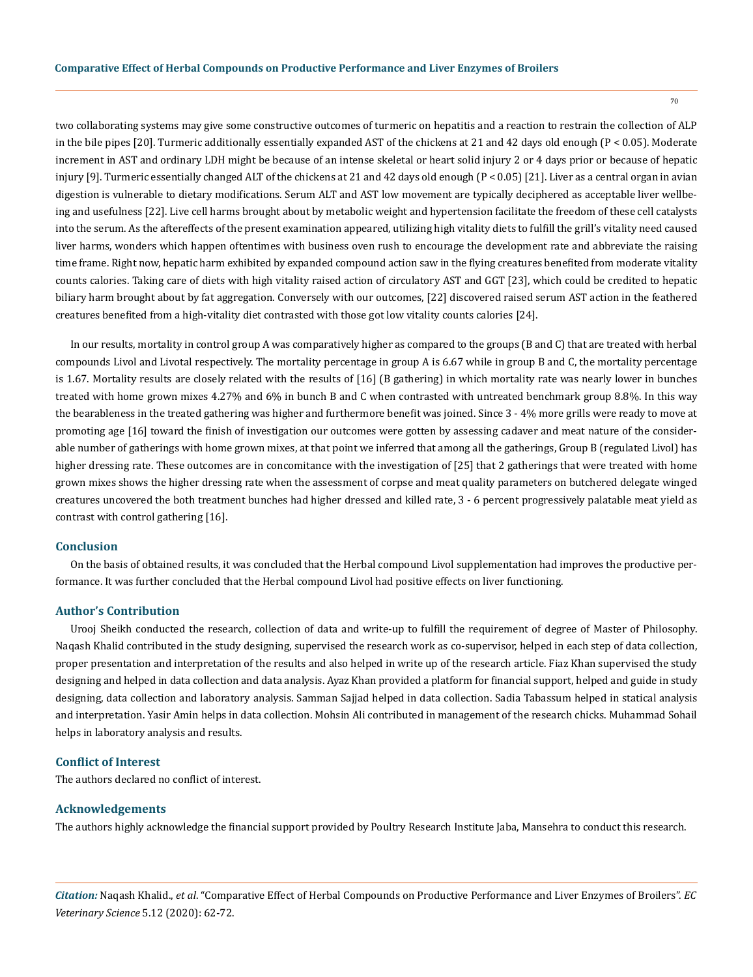two collaborating systems may give some constructive outcomes of turmeric on hepatitis and a reaction to restrain the collection of ALP in the bile pipes [20]. Turmeric additionally essentially expanded AST of the chickens at 21 and 42 days old enough (P < 0.05). Moderate increment in AST and ordinary LDH might be because of an intense skeletal or heart solid injury 2 or 4 days prior or because of hepatic injury [9]. Turmeric essentially changed ALT of the chickens at 21 and 42 days old enough (P < 0.05) [21]. Liver as a central organ in avian digestion is vulnerable to dietary modifications. Serum ALT and AST low movement are typically deciphered as acceptable liver wellbeing and usefulness [22]. Live cell harms brought about by metabolic weight and hypertension facilitate the freedom of these cell catalysts into the serum. As the aftereffects of the present examination appeared, utilizing high vitality diets to fulfill the grill's vitality need caused liver harms, wonders which happen oftentimes with business oven rush to encourage the development rate and abbreviate the raising time frame. Right now, hepatic harm exhibited by expanded compound action saw in the flying creatures benefited from moderate vitality counts calories. Taking care of diets with high vitality raised action of circulatory AST and GGT [23], which could be credited to hepatic biliary harm brought about by fat aggregation. Conversely with our outcomes, [22] discovered raised serum AST action in the feathered creatures benefited from a high-vitality diet contrasted with those got low vitality counts calories [24].

In our results, mortality in control group A was comparatively higher as compared to the groups (B and C) that are treated with herbal compounds Livol and Livotal respectively. The mortality percentage in group A is 6.67 while in group B and C, the mortality percentage is 1.67. Mortality results are closely related with the results of [16] (B gathering) in which mortality rate was nearly lower in bunches treated with home grown mixes 4.27% and 6% in bunch B and C when contrasted with untreated benchmark group 8.8%. In this way the bearableness in the treated gathering was higher and furthermore benefit was joined. Since 3 - 4% more grills were ready to move at promoting age [16] toward the finish of investigation our outcomes were gotten by assessing cadaver and meat nature of the considerable number of gatherings with home grown mixes, at that point we inferred that among all the gatherings, Group B (regulated Livol) has higher dressing rate. These outcomes are in concomitance with the investigation of [25] that 2 gatherings that were treated with home grown mixes shows the higher dressing rate when the assessment of corpse and meat quality parameters on butchered delegate winged creatures uncovered the both treatment bunches had higher dressed and killed rate, 3 - 6 percent progressively palatable meat yield as contrast with control gathering [16].

#### **Conclusion**

On the basis of obtained results, it was concluded that the Herbal compound Livol supplementation had improves the productive performance. It was further concluded that the Herbal compound Livol had positive effects on liver functioning.

## **Author's Contribution**

Urooj Sheikh conducted the research, collection of data and write-up to fulfill the requirement of degree of Master of Philosophy. Naqash Khalid contributed in the study designing, supervised the research work as co-supervisor, helped in each step of data collection, proper presentation and interpretation of the results and also helped in write up of the research article. Fiaz Khan supervised the study designing and helped in data collection and data analysis. Ayaz Khan provided a platform for financial support, helped and guide in study designing, data collection and laboratory analysis. Samman Sajjad helped in data collection. Sadia Tabassum helped in statical analysis and interpretation. Yasir Amin helps in data collection. Mohsin Ali contributed in management of the research chicks. Muhammad Sohail helps in laboratory analysis and results.

## **Conflict of Interest**

The authors declared no conflict of interest.

### **Acknowledgements**

The authors highly acknowledge the financial support provided by Poultry Research Institute Jaba, Mansehra to conduct this research.

*Citation:* Naqash Khalid., *et al*. "Comparative Effect of Herbal Compounds on Productive Performance and Liver Enzymes of Broilers". *EC Veterinary Science* 5.12 (2020): 62-72.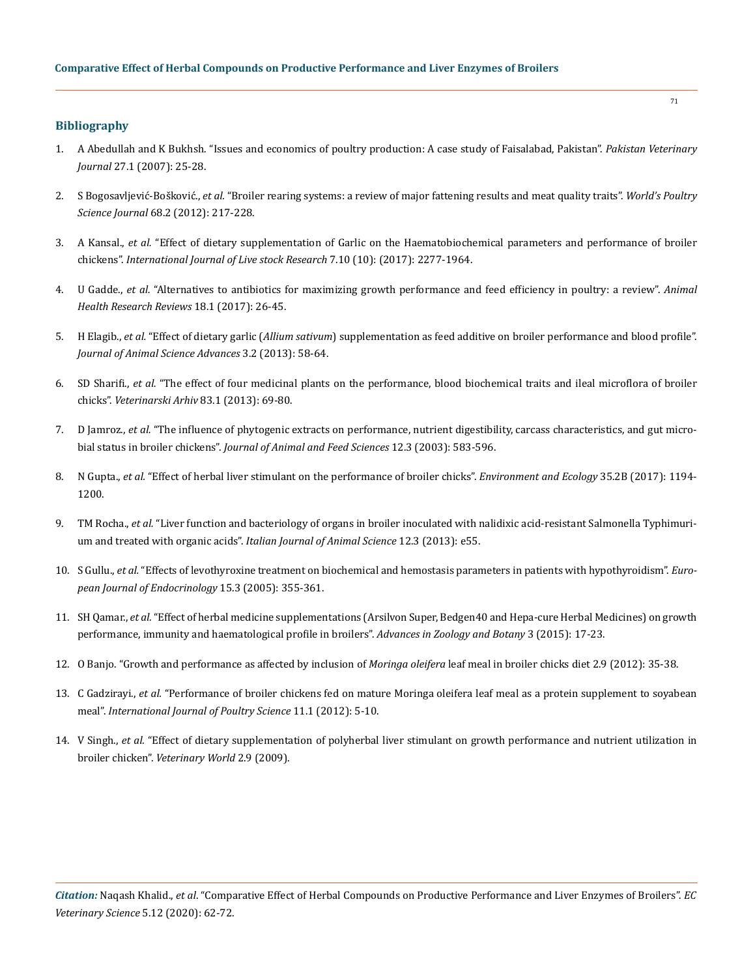## **Bibliography**

- 1. [A Abedullah and K Bukhsh. "Issues and economics of poultry production: A case study of Faisalabad, Pakistan".](https://agris.fao.org/agris-search/search.do?recordID=PK2007000927) *Pakistan Veterinary Journal* [27.1 \(2007\): 25-28.](https://agris.fao.org/agris-search/search.do?recordID=PK2007000927)
- 2. S Bogosavljević-Bošković., *et al.* ["Broiler rearing systems: a review of major fattening results and meat quality traits".](https://www.cambridge.org/core/journals/world-s-poultry-science-journal/article/broiler-rearing-systems-a-review-of-major-fattening-results-and-meat-quality-traits/9F9B98C9AFA0601C2DFA1EA4EF328962) *World's Poultry Science Journal* [68.2 \(2012\): 217-228.](https://www.cambridge.org/core/journals/world-s-poultry-science-journal/article/broiler-rearing-systems-a-review-of-major-fattening-results-and-meat-quality-traits/9F9B98C9AFA0601C2DFA1EA4EF328962)
- 3. A Kansal., *et al.* ["Effect of dietary supplementation of Garlic on the Haematobiochemical parameters and performance of broiler](https://www.researchgate.net/publication/320162817_Effect_of_Dietary_Supplementation_of_Garlic_on_the_Haemato-biochemical_Parameters_and_Performance_of_Broiler_Chickens)  chickens". *[International Journal of Live stock Research](https://www.researchgate.net/publication/320162817_Effect_of_Dietary_Supplementation_of_Garlic_on_the_Haemato-biochemical_Parameters_and_Performance_of_Broiler_Chickens)* 7.10 (10): (2017): 2277-1964.
- 4. U Gadde., *et al.* ["Alternatives to antibiotics for maximizing growth performance and feed efficiency in poultry: a review".](https://pubmed.ncbi.nlm.nih.gov/28485263/) *Animal [Health Research Reviews](https://pubmed.ncbi.nlm.nih.gov/28485263/)* 18.1 (2017): 26-45.
- 5. H Elagib., *et al.* "Effect of dietary garlic (*Allium sativum*[\) supplementation as feed additive on broiler performance and blood profile".](https://www.researchgate.net/publication/311627478_Effect_of_Dietary_Garlic_Allium_sativum_Supplementation_as_Feed_Additive_on_Broiler_Performance_and_Blood_Profile)  *[Journal of Animal Science Advances](https://www.researchgate.net/publication/311627478_Effect_of_Dietary_Garlic_Allium_sativum_Supplementation_as_Feed_Additive_on_Broiler_Performance_and_Blood_Profile)* 3.2 (2013): 58-64.
- 6. SD Sharifi., *et al.* ["The effect of four medicinal plants on the performance, blood biochemical traits and ileal microflora of broiler](http://intranet.vef.hr/vetarhiv/papers/2013-83-1-8.pdf)  chicks". *Veterinarski Arhiv* [83.1 \(2013\): 69-80.](http://intranet.vef.hr/vetarhiv/papers/2013-83-1-8.pdf)
- 7. D Jamroz., *et al.* ["The influence of phytogenic extracts on performance, nutrient digestibility, carcass characteristics, and gut micro](http://www.jafs.com.pl/The-in-uence-of-phytogenic-extracts-on-performance-nnutrient-digestibility-carcass-characteristics-nand-gut-microbial-status-in-broiler-chickens,67752,0,2.html)bial status in broiler chickens". *[Journal of Animal and Feed Sciences](http://www.jafs.com.pl/The-in-uence-of-phytogenic-extracts-on-performance-nnutrient-digestibility-carcass-characteristics-nand-gut-microbial-status-in-broiler-chickens,67752,0,2.html)* 12.3 (2003): 583-596.
- 8. N Gupta., *et al.* ["Effect of herbal liver stimulant on the performance of broiler chicks".](https://www.cabdirect.org/cabdirect/abstract/20173159172) *Environment and Ecology* 35.2B (2017): 1194- [1200.](https://www.cabdirect.org/cabdirect/abstract/20173159172)
- 9. TM Rocha., *et al.* ["Liver function and bacteriology of organs in broiler inoculated with nalidixic acid-resistant Salmonella Typhimuri](https://www.tandfonline.com/doi/full/10.4081/ijas.2013.e55)um and treated with organic acids". *[Italian Journal of Animal Science](https://www.tandfonline.com/doi/full/10.4081/ijas.2013.e55)* 12.3 (2013): e55.
- 10. S Gullu., *et al.* ["Effects of levothyroxine treatment on biochemical and hemostasis parameters in patients with hypothyroidism".](https://eje.bioscientifica.com/view/journals/eje/152/3/1520355.xml) *Euro[pean Journal of Endocrinology](https://eje.bioscientifica.com/view/journals/eje/152/3/1520355.xml)* 15.3 (2005): 355-361.
- 11. SH Qamar., *et al.* ["Effect of herbal medicine supplementations \(Arsilvon Super, Bedgen40 and Hepa-cure Herbal Medicines\) on growth](https://www.semanticscholar.org/paper/Effect-of-Herbal-Medicine-Supplementations-Super%2C-Qamar-Haq/9882d9c3a7c60ca98deb000e881a6da33ef3704f)  [performance, immunity and haematological profile in broilers".](https://www.semanticscholar.org/paper/Effect-of-Herbal-Medicine-Supplementations-Super%2C-Qamar-Haq/9882d9c3a7c60ca98deb000e881a6da33ef3704f) *Advances in Zoology and Botany* 3 (2015): 17-23.
- 12. [O Banjo. "Growth and performance as affected by inclusion of](https://www.iiste.org/Journals/index.php/JBAH/article/view/3038) *Moringa oleifera* leaf meal in broiler chicks diet 2.9 (2012): 35-38.
- 13. C Gadzirayi., *et al.* ["Performance of broiler chickens fed on mature Moringa oleifera leaf meal as a protein supplement to soyabean](https://www.researchgate.net/publication/230838077_Performance_of_Broiler_Chickens_Fed_on_Mature_Moringa_oleifera_Leaf_Meal_as_a_Protein_Supplement_to_Soyabean_Meal)  meal". *[International Journal of Poultry Science](https://www.researchgate.net/publication/230838077_Performance_of_Broiler_Chickens_Fed_on_Mature_Moringa_oleifera_Leaf_Meal_as_a_Protein_Supplement_to_Soyabean_Meal)* 11.1 (2012): 5-10.
- 14. V Singh., *et al.* ["Effect of dietary supplementation of polyherbal liver stimulant on growth performance and nutrient utilization in](https://www.researchgate.net/publication/264839366_Effect_of_dietary_supplementation_of_polyherbal_liver_stimulant_on_growth_performance_and_nutrient_utilization_in_broiler_chicken)  broiler chicken". *[Veterinary World](https://www.researchgate.net/publication/264839366_Effect_of_dietary_supplementation_of_polyherbal_liver_stimulant_on_growth_performance_and_nutrient_utilization_in_broiler_chicken)* 2.9 (2009).